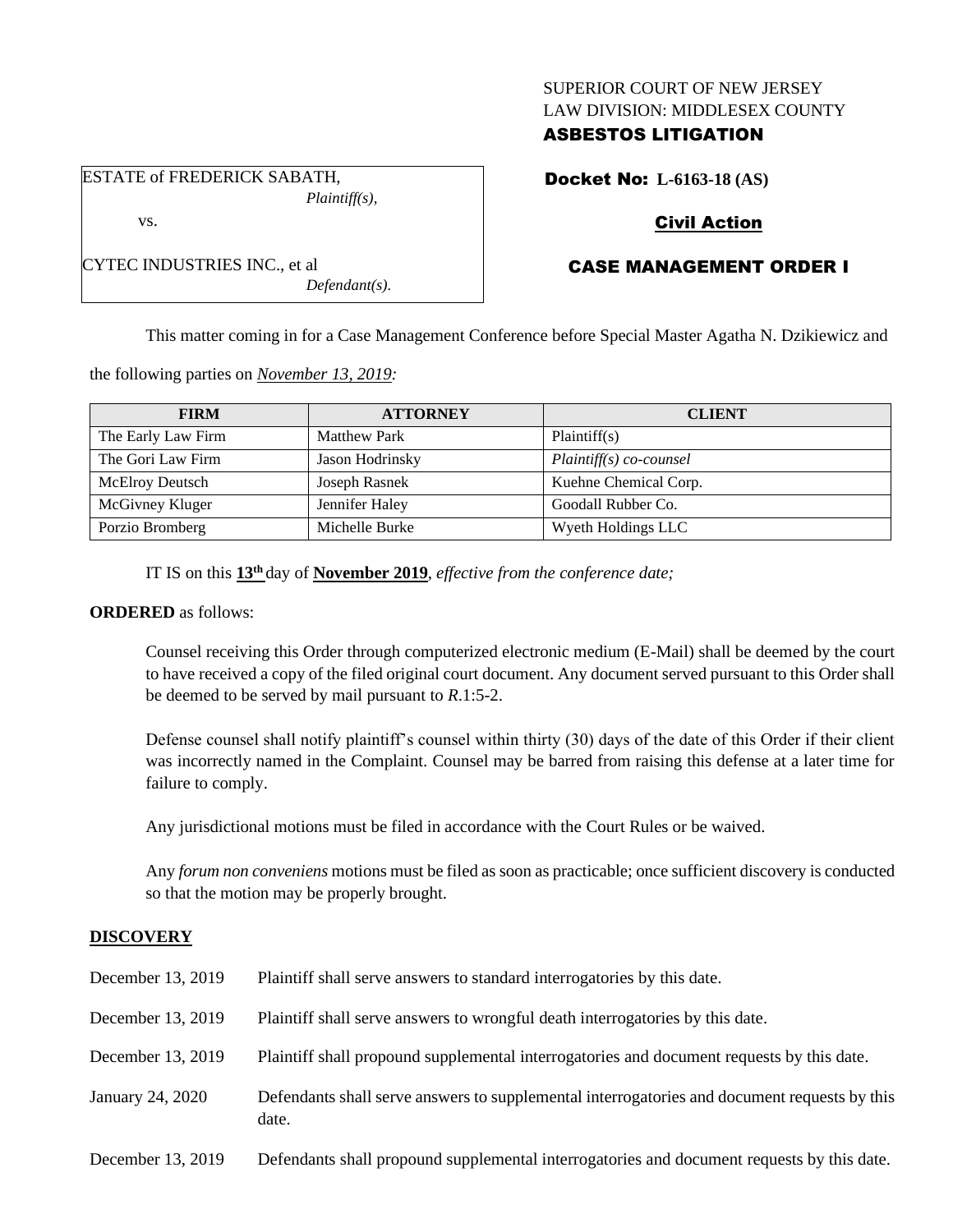# SUPERIOR COURT OF NEW JERSEY LAW DIVISION: MIDDLESEX COUNTY

# ASBESTOS LITIGATION

ESTATE of FREDERICK SABATH, *Plaintiff(s),* Docket No: **L-6163-18 (AS)**

# Civil Action

# CASE MANAGEMENT ORDER I

This matter coming in for a Case Management Conference before Special Master Agatha N. Dzikiewicz and

the following parties on *November 13, 2019:*

| <b>FIRM</b>            | <b>ATTORNEY</b>     | <b>CLIENT</b>            |  |
|------------------------|---------------------|--------------------------|--|
| The Early Law Firm     | <b>Matthew Park</b> | Plaintiff(s)             |  |
| The Gori Law Firm      | Jason Hodrinsky     | $Plaintiff(s) co-course$ |  |
| <b>McElroy Deutsch</b> | Joseph Rasnek       | Kuehne Chemical Corp.    |  |
| McGivney Kluger        | Jennifer Haley      | Goodall Rubber Co.       |  |
| Porzio Bromberg        | Michelle Burke      | Wyeth Holdings LLC       |  |

IT IS on this **13th** day of **November 2019**, *effective from the conference date;*

*Defendant(s).*

### **ORDERED** as follows:

vs.

CYTEC INDUSTRIES INC., et al

Counsel receiving this Order through computerized electronic medium (E-Mail) shall be deemed by the court to have received a copy of the filed original court document. Any document served pursuant to this Order shall be deemed to be served by mail pursuant to *R*.1:5-2.

Defense counsel shall notify plaintiff's counsel within thirty (30) days of the date of this Order if their client was incorrectly named in the Complaint. Counsel may be barred from raising this defense at a later time for failure to comply.

Any jurisdictional motions must be filed in accordance with the Court Rules or be waived.

Any *forum non conveniens* motions must be filed as soon as practicable; once sufficient discovery is conducted so that the motion may be properly brought.

# **DISCOVERY**

| December 13, 2019 | Plaintiff shall serve answers to standard interrogatories by this date.                               |
|-------------------|-------------------------------------------------------------------------------------------------------|
| December 13, 2019 | Plaintiff shall serve answers to wrongful death interrogatories by this date.                         |
| December 13, 2019 | Plaintiff shall propound supplemental interrogatories and document requests by this date.             |
| January 24, 2020  | Defendants shall serve answers to supplemental interrogatories and document requests by this<br>date. |
| December 13, 2019 | Defendants shall propound supplemental interrogatories and document requests by this date.            |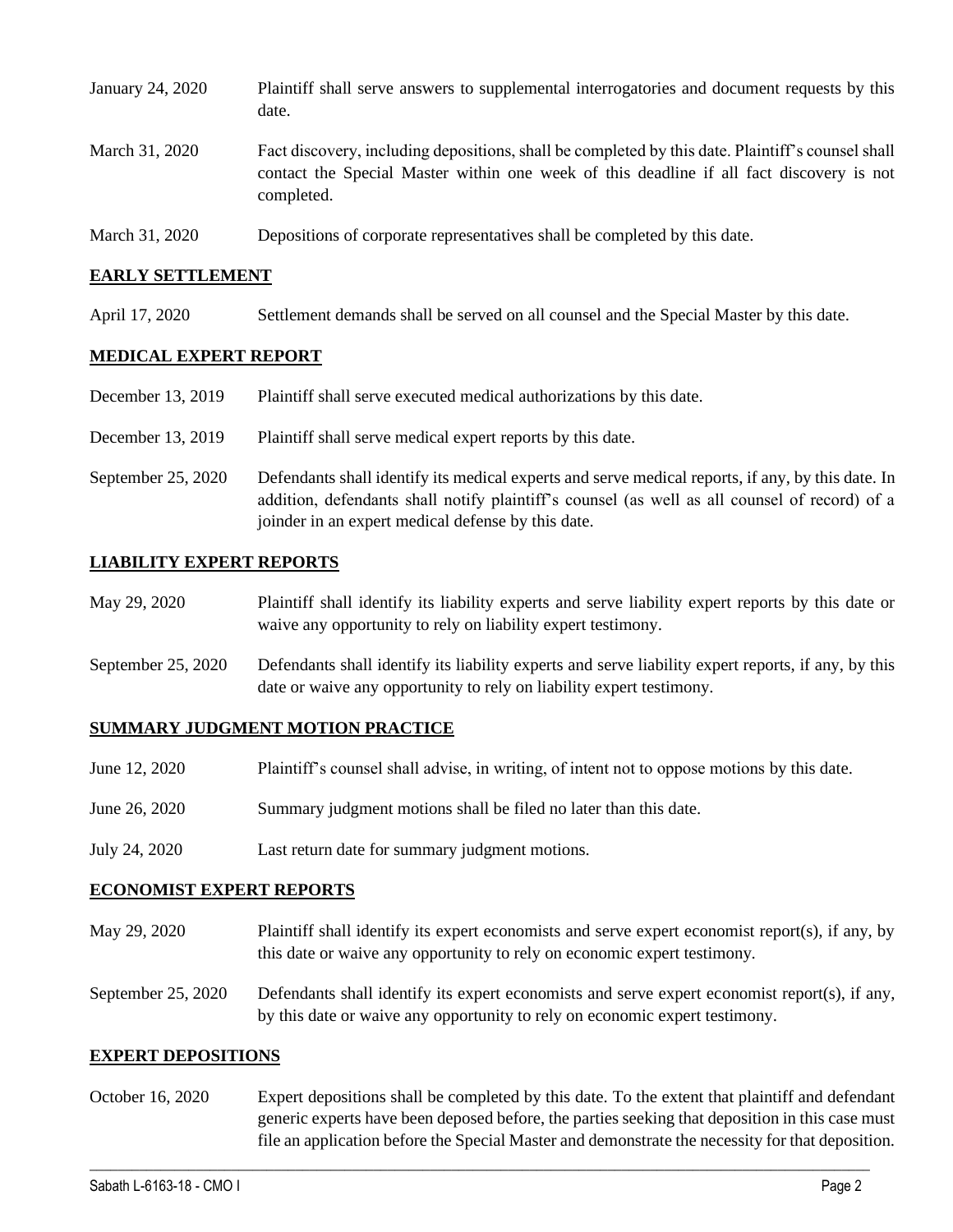| January 24, 2020 | Plaintiff shall serve answers to supplemental interrogatories and document requests by this<br>date.                                                                                                        |
|------------------|-------------------------------------------------------------------------------------------------------------------------------------------------------------------------------------------------------------|
| March 31, 2020   | Fact discovery, including depositions, shall be completed by this date. Plaintiff's counsel shall<br>contact the Special Master within one week of this deadline if all fact discovery is not<br>completed. |
| March 31, 2020   | Depositions of corporate representatives shall be completed by this date.                                                                                                                                   |

### **EARLY SETTLEMENT**

April 17, 2020 Settlement demands shall be served on all counsel and the Special Master by this date.

## **MEDICAL EXPERT REPORT**

- December 13, 2019 Plaintiff shall serve executed medical authorizations by this date.
- December 13, 2019 Plaintiff shall serve medical expert reports by this date.
- September 25, 2020 Defendants shall identify its medical experts and serve medical reports, if any, by this date. In addition, defendants shall notify plaintiff's counsel (as well as all counsel of record) of a joinder in an expert medical defense by this date.

#### **LIABILITY EXPERT REPORTS**

| May 29, 2020 | Plaintiff shall identify its liability experts and serve liability expert reports by this date or |
|--------------|---------------------------------------------------------------------------------------------------|
|              | waive any opportunity to rely on liability expert testimony.                                      |

September 25, 2020 Defendants shall identify its liability experts and serve liability expert reports, if any, by this date or waive any opportunity to rely on liability expert testimony.

## **SUMMARY JUDGMENT MOTION PRACTICE**

| June 12, 2020 | Plaintiff's counsel shall advise, in writing, of intent not to oppose motions by this date. |  |  |
|---------------|---------------------------------------------------------------------------------------------|--|--|
|               |                                                                                             |  |  |

- June 26, 2020 Summary judgment motions shall be filed no later than this date.
- July 24, 2020 Last return date for summary judgment motions.

#### **ECONOMIST EXPERT REPORTS**

- May 29, 2020 Plaintiff shall identify its expert economists and serve expert economist report(s), if any, by this date or waive any opportunity to rely on economic expert testimony.
- September 25, 2020 Defendants shall identify its expert economists and serve expert economist report(s), if any, by this date or waive any opportunity to rely on economic expert testimony.

#### **EXPERT DEPOSITIONS**

October 16, 2020 Expert depositions shall be completed by this date. To the extent that plaintiff and defendant generic experts have been deposed before, the parties seeking that deposition in this case must file an application before the Special Master and demonstrate the necessity for that deposition.

 $\_$  , and the set of the set of the set of the set of the set of the set of the set of the set of the set of the set of the set of the set of the set of the set of the set of the set of the set of the set of the set of th